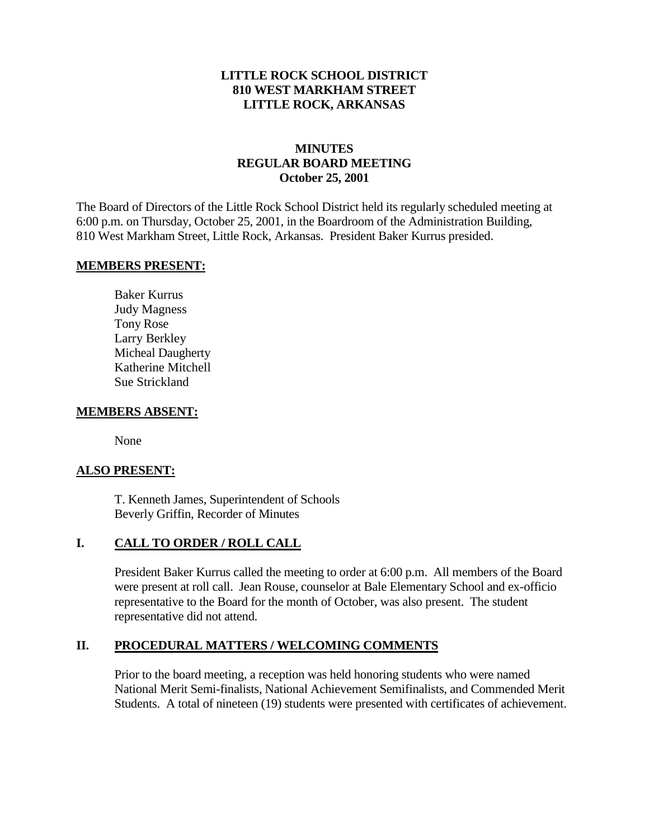### **LITTLE ROCK SCHOOL DISTRICT 810 WEST MARKHAM STREET LITTLE ROCK, ARKANSAS**

## **MINUTES REGULAR BOARD MEETING October 25, 2001**

The Board of Directors of the Little Rock School District held its regularly scheduled meeting at 6:00 p.m. on Thursday, October 25, 2001, in the Boardroom of the Administration Building, 810 West Markham Street, Little Rock, Arkansas. President Baker Kurrus presided.

#### **MEMBERS PRESENT:**

Baker Kurrus Judy Magness Tony Rose Larry Berkley Micheal Daugherty Katherine Mitchell Sue Strickland

#### **MEMBERS ABSENT:**

None

### **ALSO PRESENT:**

T. Kenneth James, Superintendent of Schools Beverly Griffin, Recorder of Minutes

### **I. CALL TO ORDER / ROLL CALL**

President Baker Kurrus called the meeting to order at 6:00 p.m. All members of the Board were present at roll call. Jean Rouse, counselor at Bale Elementary School and ex-officio representative to the Board for the month of October, was also present. The student representative did not attend.

### **II. PROCEDURAL MATTERS / WELCOMING COMMENTS**

Prior to the board meeting, a reception was held honoring students who were named National Merit Semi-finalists, National Achievement Semifinalists, and Commended Merit Students. A total of nineteen (19) students were presented with certificates of achievement.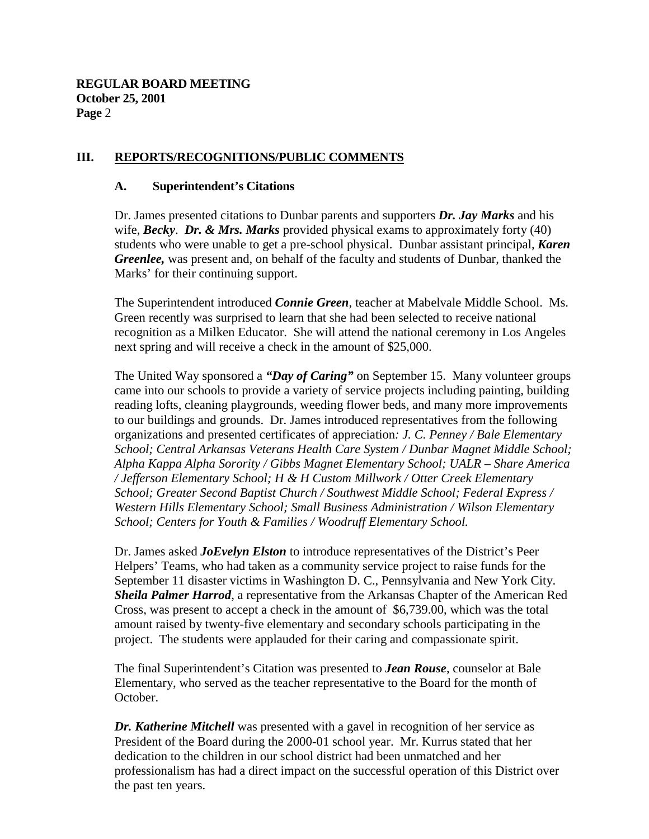### **III. REPORTS/RECOGNITIONS/PUBLIC COMMENTS**

#### **A. Superintendent's Citations**

Dr. James presented citations to Dunbar parents and supporters *Dr. Jay Marks* and his wife, *Becky*. *Dr. & Mrs. Marks* provided physical exams to approximately forty (40) students who were unable to get a pre-school physical. Dunbar assistant principal, *Karen Greenlee,* was present and, on behalf of the faculty and students of Dunbar, thanked the Marks' for their continuing support.

The Superintendent introduced *Connie Green*, teacher at Mabelvale Middle School. Ms. Green recently was surprised to learn that she had been selected to receive national recognition as a Milken Educator. She will attend the national ceremony in Los Angeles next spring and will receive a check in the amount of \$25,000.

The United Way sponsored a *"Day of Caring"* on September 15. Many volunteer groups came into our schools to provide a variety of service projects including painting, building reading lofts, cleaning playgrounds, weeding flower beds, and many more improvements to our buildings and grounds. Dr. James introduced representatives from the following organizations and presented certificates of appreciation*: J. C. Penney / Bale Elementary School; Central Arkansas Veterans Health Care System / Dunbar Magnet Middle School; Alpha Kappa Alpha Sorority / Gibbs Magnet Elementary School; UALR – Share America / Jefferson Elementary School; H & H Custom Millwork / Otter Creek Elementary School; Greater Second Baptist Church / Southwest Middle School; Federal Express / Western Hills Elementary School; Small Business Administration / Wilson Elementary School; Centers for Youth & Families / Woodruff Elementary School.*

Dr. James asked *JoEvelyn Elston* to introduce representatives of the District's Peer Helpers' Teams, who had taken as a community service project to raise funds for the September 11 disaster victims in Washington D. C., Pennsylvania and New York City. *Sheila Palmer Harrod*, a representative from the Arkansas Chapter of the American Red Cross, was present to accept a check in the amount of \$6,739.00, which was the total amount raised by twenty-five elementary and secondary schools participating in the project. The students were applauded for their caring and compassionate spirit.

The final Superintendent's Citation was presented to *Jean Rouse*, counselor at Bale Elementary, who served as the teacher representative to the Board for the month of October.

*Dr. Katherine Mitchell* was presented with a gavel in recognition of her service as President of the Board during the 2000-01 school year. Mr. Kurrus stated that her dedication to the children in our school district had been unmatched and her professionalism has had a direct impact on the successful operation of this District over the past ten years.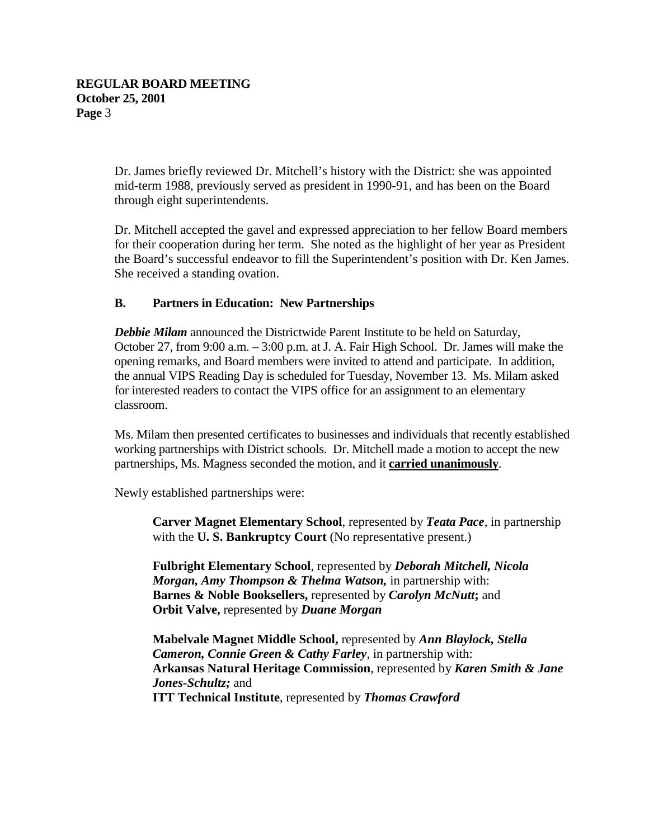Dr. James briefly reviewed Dr. Mitchell's history with the District: she was appointed mid-term 1988, previously served as president in 1990-91, and has been on the Board through eight superintendents.

Dr. Mitchell accepted the gavel and expressed appreciation to her fellow Board members for their cooperation during her term. She noted as the highlight of her year as President the Board's successful endeavor to fill the Superintendent's position with Dr. Ken James. She received a standing ovation.

## **B. Partners in Education: New Partnerships**

*Debbie Milam* announced the Districtwide Parent Institute to be held on Saturday, October 27, from 9:00 a.m. – 3:00 p.m. at J. A. Fair High School. Dr. James will make the opening remarks, and Board members were invited to attend and participate. In addition, the annual VIPS Reading Day is scheduled for Tuesday, November 13. Ms. Milam asked for interested readers to contact the VIPS office for an assignment to an elementary classroom.

Ms. Milam then presented certificates to businesses and individuals that recently established working partnerships with District schools. Dr. Mitchell made a motion to accept the new partnerships, Ms. Magness seconded the motion, and it **carried unanimously**.

Newly established partnerships were:

**Carver Magnet Elementary School**, represented by *Teata Pace*, in partnership with the **U. S. Bankruptcy Court** (No representative present.)

**Fulbright Elementary School**, represented by *Deborah Mitchell, Nicola Morgan, Amy Thompson & Thelma Watson,* in partnership with: **Barnes & Noble Booksellers,** represented by *Carolyn McNutt***;** and **Orbit Valve,** represented by *Duane Morgan*

**Mabelvale Magnet Middle School,** represented by *Ann Blaylock, Stella Cameron, Connie Green & Cathy Farley*, in partnership with: **Arkansas Natural Heritage Commission**, represented by *Karen Smith & Jane Jones-Schultz;* and **ITT Technical Institute**, represented by *Thomas Crawford*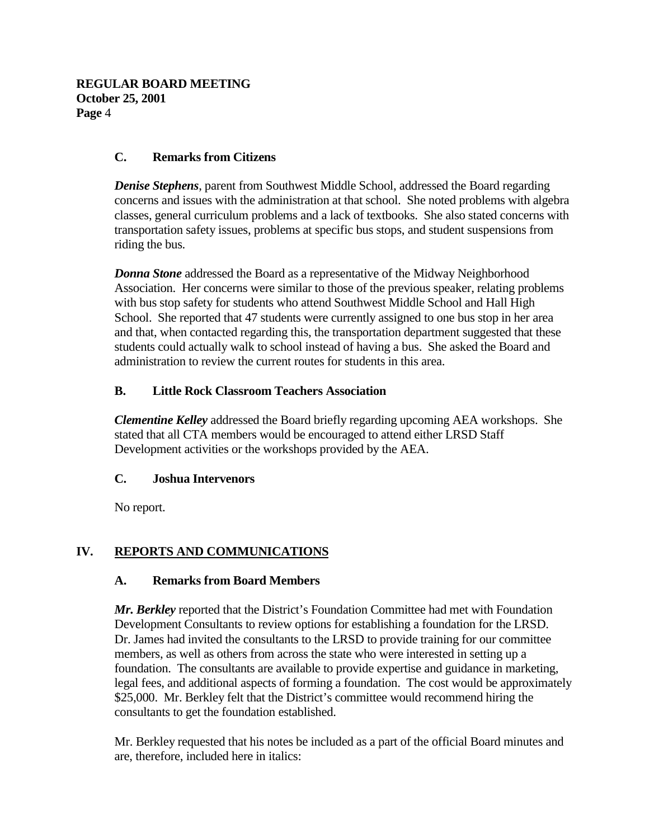## **C. Remarks from Citizens**

*Denise Stephens*, parent from Southwest Middle School, addressed the Board regarding concerns and issues with the administration at that school. She noted problems with algebra classes, general curriculum problems and a lack of textbooks. She also stated concerns with transportation safety issues, problems at specific bus stops, and student suspensions from riding the bus.

*Donna Stone* addressed the Board as a representative of the Midway Neighborhood Association. Her concerns were similar to those of the previous speaker, relating problems with bus stop safety for students who attend Southwest Middle School and Hall High School. She reported that 47 students were currently assigned to one bus stop in her area and that, when contacted regarding this, the transportation department suggested that these students could actually walk to school instead of having a bus. She asked the Board and administration to review the current routes for students in this area.

### **B. Little Rock Classroom Teachers Association**

*Clementine Kelley* addressed the Board briefly regarding upcoming AEA workshops. She stated that all CTA members would be encouraged to attend either LRSD Staff Development activities or the workshops provided by the AEA.

## **C. Joshua Intervenors**

No report.

## **IV. REPORTS AND COMMUNICATIONS**

### **A. Remarks from Board Members**

*Mr. Berkley* reported that the District's Foundation Committee had met with Foundation Development Consultants to review options for establishing a foundation for the LRSD. Dr. James had invited the consultants to the LRSD to provide training for our committee members, as well as others from across the state who were interested in setting up a foundation. The consultants are available to provide expertise and guidance in marketing, legal fees, and additional aspects of forming a foundation. The cost would be approximately \$25,000. Mr. Berkley felt that the District's committee would recommend hiring the consultants to get the foundation established.

Mr. Berkley requested that his notes be included as a part of the official Board minutes and are, therefore, included here in italics: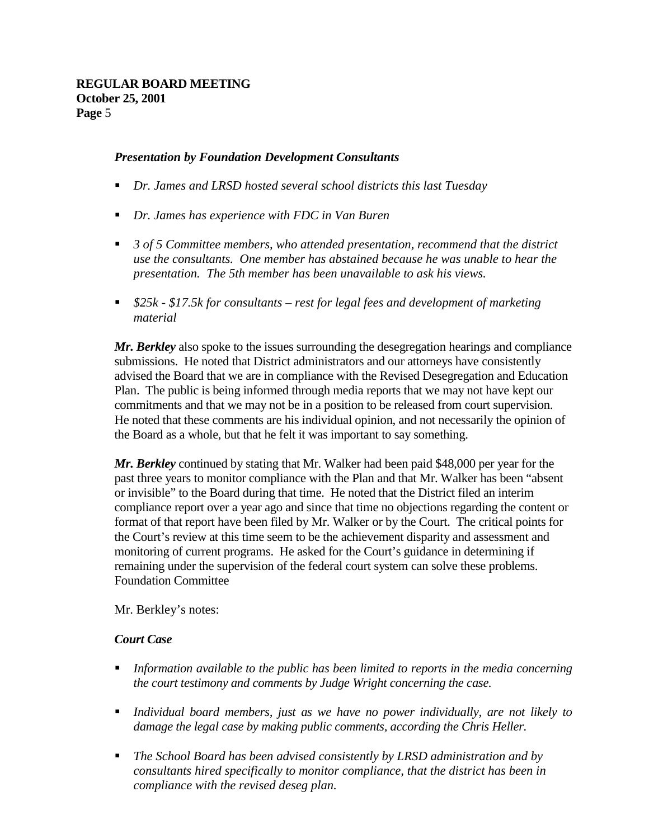### *Presentation by Foundation Development Consultants*

- *Dr. James and LRSD hosted several school districts this last Tuesday*
- *Dr. James has experience with FDC in Van Buren*
- 3 of 5 Committee members, who attended presentation, recommend that the district *use the consultants. One member has abstained because he was unable to hear the presentation. The 5th member has been unavailable to ask his views.*
- *\$25k \$17.5k for consultants rest for legal fees and development of marketing material*

*Mr. Berkley* also spoke to the issues surrounding the desegregation hearings and compliance submissions. He noted that District administrators and our attorneys have consistently advised the Board that we are in compliance with the Revised Desegregation and Education Plan. The public is being informed through media reports that we may not have kept our commitments and that we may not be in a position to be released from court supervision. He noted that these comments are his individual opinion, and not necessarily the opinion of the Board as a whole, but that he felt it was important to say something.

*Mr. Berkley* continued by stating that Mr. Walker had been paid \$48,000 per year for the past three years to monitor compliance with the Plan and that Mr. Walker has been "absent or invisible" to the Board during that time. He noted that the District filed an interim compliance report over a year ago and since that time no objections regarding the content or format of that report have been filed by Mr. Walker or by the Court. The critical points for the Court's review at this time seem to be the achievement disparity and assessment and monitoring of current programs. He asked for the Court's guidance in determining if remaining under the supervision of the federal court system can solve these problems. Foundation Committee

Mr. Berkley's notes:

### *Court Case*

- *Information available to the public has been limited to reports in the media concerning the court testimony and comments by Judge Wright concerning the case.*
- *Individual board members, just as we have no power individually, are not likely to damage the legal case by making public comments, according the Chris Heller.*
- *The School Board has been advised consistently by LRSD administration and by consultants hired specifically to monitor compliance, that the district has been in compliance with the revised deseg plan.*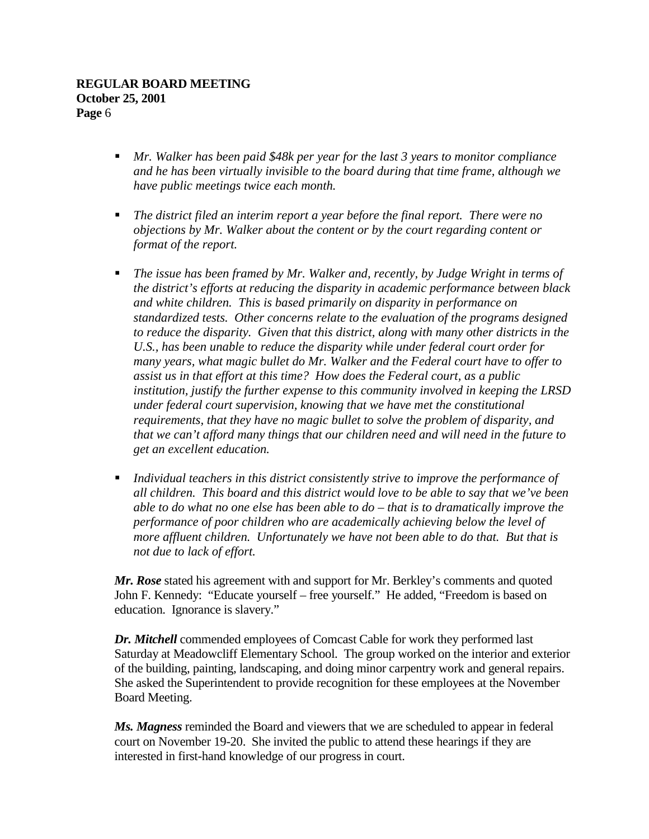- *Mr. Walker has been paid \$48k per year for the last 3 years to monitor compliance and he has been virtually invisible to the board during that time frame, although we have public meetings twice each month.*
- *The district filed an interim report a year before the final report. There were no objections by Mr. Walker about the content or by the court regarding content or format of the report.*
- *The issue has been framed by Mr. Walker and, recently, by Judge Wright in terms of the district's efforts at reducing the disparity in academic performance between black and white children. This is based primarily on disparity in performance on standardized tests. Other concerns relate to the evaluation of the programs designed to reduce the disparity. Given that this district, along with many other districts in the U.S., has been unable to reduce the disparity while under federal court order for many years, what magic bullet do Mr. Walker and the Federal court have to offer to assist us in that effort at this time? How does the Federal court, as a public institution, justify the further expense to this community involved in keeping the LRSD under federal court supervision, knowing that we have met the constitutional requirements, that they have no magic bullet to solve the problem of disparity, and that we can't afford many things that our children need and will need in the future to get an excellent education.*
- *Individual teachers in this district consistently strive to improve the performance of all children. This board and this district would love to be able to say that we've been able to do what no one else has been able to do – that is to dramatically improve the performance of poor children who are academically achieving below the level of more affluent children. Unfortunately we have not been able to do that. But that is not due to lack of effort.*

*Mr. Rose* stated his agreement with and support for Mr. Berkley's comments and quoted John F. Kennedy: "Educate yourself – free yourself." He added, "Freedom is based on education. Ignorance is slavery."

*Dr. Mitchell* commended employees of Comcast Cable for work they performed last Saturday at Meadowcliff Elementary School. The group worked on the interior and exterior of the building, painting, landscaping, and doing minor carpentry work and general repairs. She asked the Superintendent to provide recognition for these employees at the November Board Meeting.

*Ms. Magness* reminded the Board and viewers that we are scheduled to appear in federal court on November 19-20. She invited the public to attend these hearings if they are interested in first-hand knowledge of our progress in court.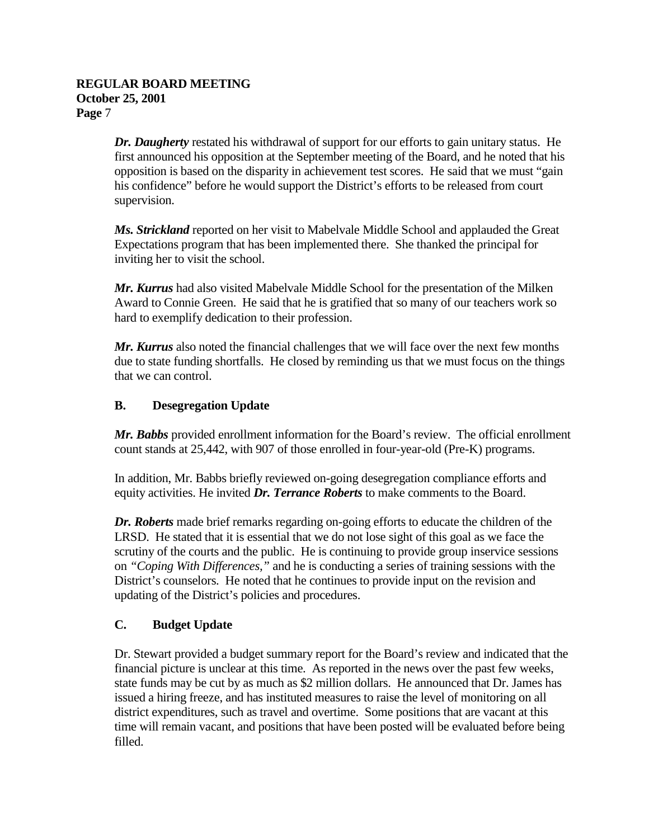*Dr. Daugherty* restated his withdrawal of support for our efforts to gain unitary status. He first announced his opposition at the September meeting of the Board, and he noted that his opposition is based on the disparity in achievement test scores. He said that we must "gain his confidence" before he would support the District's efforts to be released from court supervision.

*Ms. Strickland* reported on her visit to Mabelvale Middle School and applauded the Great Expectations program that has been implemented there. She thanked the principal for inviting her to visit the school.

*Mr. Kurrus* had also visited Mabelvale Middle School for the presentation of the Milken Award to Connie Green. He said that he is gratified that so many of our teachers work so hard to exemplify dedication to their profession.

*Mr. Kurrus* also noted the financial challenges that we will face over the next few months due to state funding shortfalls. He closed by reminding us that we must focus on the things that we can control.

# **B. Desegregation Update**

*Mr. Babbs* provided enrollment information for the Board's review. The official enrollment count stands at 25,442, with 907 of those enrolled in four-year-old (Pre-K) programs.

In addition, Mr. Babbs briefly reviewed on-going desegregation compliance efforts and equity activities. He invited *Dr. Terrance Roberts* to make comments to the Board.

*Dr. Roberts* made brief remarks regarding on-going efforts to educate the children of the LRSD. He stated that it is essential that we do not lose sight of this goal as we face the scrutiny of the courts and the public. He is continuing to provide group inservice sessions on *"Coping With Differences,"* and he is conducting a series of training sessions with the District's counselors. He noted that he continues to provide input on the revision and updating of the District's policies and procedures.

# **C. Budget Update**

Dr. Stewart provided a budget summary report for the Board's review and indicated that the financial picture is unclear at this time. As reported in the news over the past few weeks, state funds may be cut by as much as \$2 million dollars. He announced that Dr. James has issued a hiring freeze, and has instituted measures to raise the level of monitoring on all district expenditures, such as travel and overtime. Some positions that are vacant at this time will remain vacant, and positions that have been posted will be evaluated before being filled.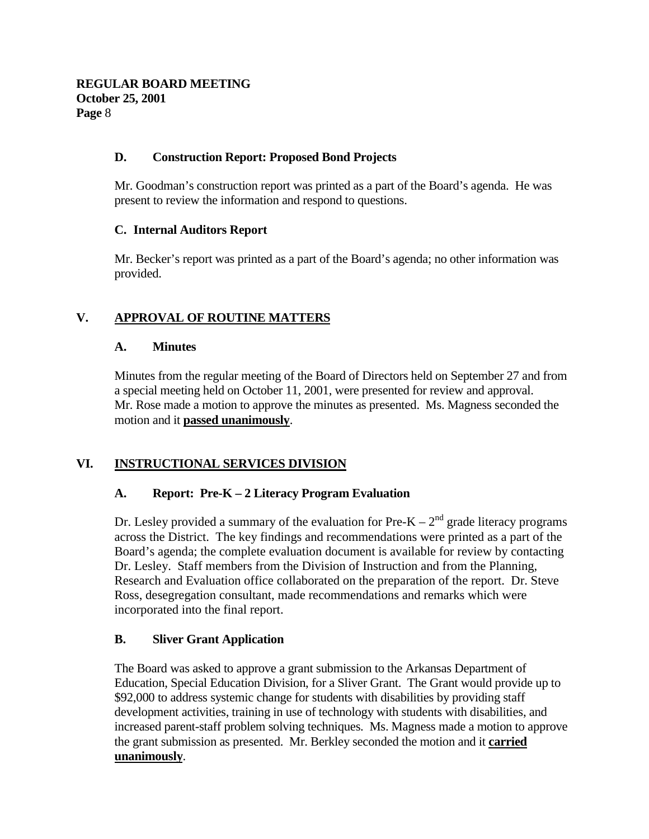### **D. Construction Report: Proposed Bond Projects**

Mr. Goodman's construction report was printed as a part of the Board's agenda. He was present to review the information and respond to questions.

### **C. Internal Auditors Report**

Mr. Becker's report was printed as a part of the Board's agenda; no other information was provided.

# **V. APPROVAL OF ROUTINE MATTERS**

### **A. Minutes**

Minutes from the regular meeting of the Board of Directors held on September 27 and from a special meeting held on October 11, 2001, were presented for review and approval. Mr. Rose made a motion to approve the minutes as presented. Ms. Magness seconded the motion and it **passed unanimously**.

# **VI. INSTRUCTIONAL SERVICES DIVISION**

## **A. Report: Pre-K – 2 Literacy Program Evaluation**

Dr. Lesley provided a summary of the evaluation for Pre-K –  $2<sup>nd</sup>$  grade literacy programs across the District. The key findings and recommendations were printed as a part of the Board's agenda; the complete evaluation document is available for review by contacting Dr. Lesley. Staff members from the Division of Instruction and from the Planning, Research and Evaluation office collaborated on the preparation of the report. Dr. Steve Ross, desegregation consultant, made recommendations and remarks which were incorporated into the final report.

## **B. Sliver Grant Application**

The Board was asked to approve a grant submission to the Arkansas Department of Education, Special Education Division, for a Sliver Grant. The Grant would provide up to \$92,000 to address systemic change for students with disabilities by providing staff development activities, training in use of technology with students with disabilities, and increased parent-staff problem solving techniques. Ms. Magness made a motion to approve the grant submission as presented. Mr. Berkley seconded the motion and it **carried unanimously**.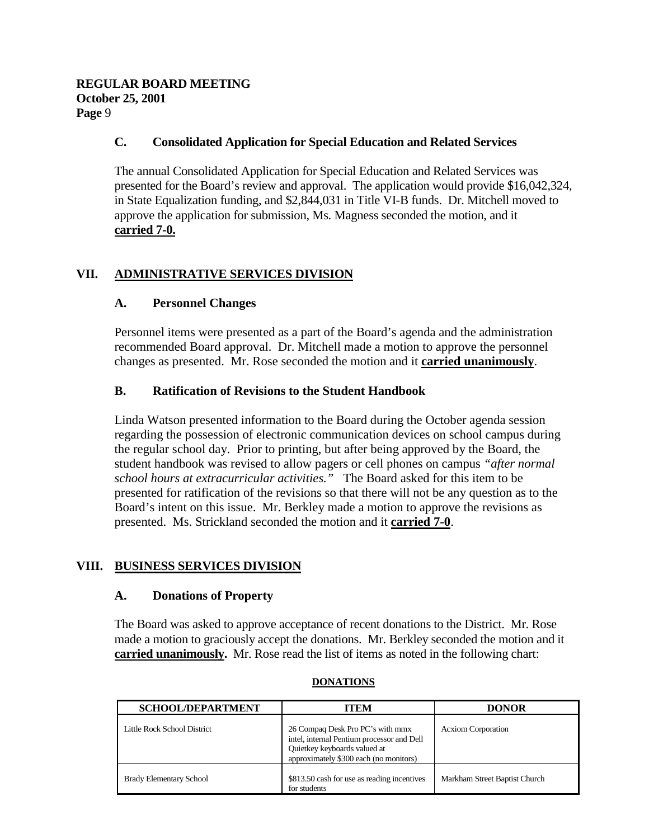### **C. Consolidated Application for Special Education and Related Services**

The annual Consolidated Application for Special Education and Related Services was presented for the Board's review and approval. The application would provide \$16,042,324, in State Equalization funding, and \$2,844,031 in Title VI-B funds. Dr. Mitchell moved to approve the application for submission, Ms. Magness seconded the motion, and it **carried 7-0.**

# **VII. ADMINISTRATIVE SERVICES DIVISION**

### **A. Personnel Changes**

Personnel items were presented as a part of the Board's agenda and the administration recommended Board approval. Dr. Mitchell made a motion to approve the personnel changes as presented. Mr. Rose seconded the motion and it **carried unanimously**.

### **B. Ratification of Revisions to the Student Handbook**

Linda Watson presented information to the Board during the October agenda session regarding the possession of electronic communication devices on school campus during the regular school day. Prior to printing, but after being approved by the Board, the student handbook was revised to allow pagers or cell phones on campus *"after normal school hours at extracurricular activities."* The Board asked for this item to be presented for ratification of the revisions so that there will not be any question as to the Board's intent on this issue. Mr. Berkley made a motion to approve the revisions as presented. Ms. Strickland seconded the motion and it **carried 7-0**.

## **VIII. BUSINESS SERVICES DIVISION**

### **A. Donations of Property**

The Board was asked to approve acceptance of recent donations to the District. Mr. Rose made a motion to graciously accept the donations. Mr. Berkley seconded the motion and it **carried unanimously.** Mr. Rose read the list of items as noted in the following chart:

| <b>SCHOOL/DEPARTMENT</b>       | ITEM                                                                                                                                                     | <b>DONOR</b>                  |
|--------------------------------|----------------------------------------------------------------------------------------------------------------------------------------------------------|-------------------------------|
| Little Rock School District    | 26 Compaq Desk Pro PC's with mmx<br>intel, internal Pentium processor and Dell<br>Quietkey keyboards valued at<br>approximately \$300 each (no monitors) | <b>Acxiom Corporation</b>     |
| <b>Brady Elementary School</b> | \$813.50 cash for use as reading incentives<br>for students                                                                                              | Markham Street Baptist Church |

#### **DONATIONS**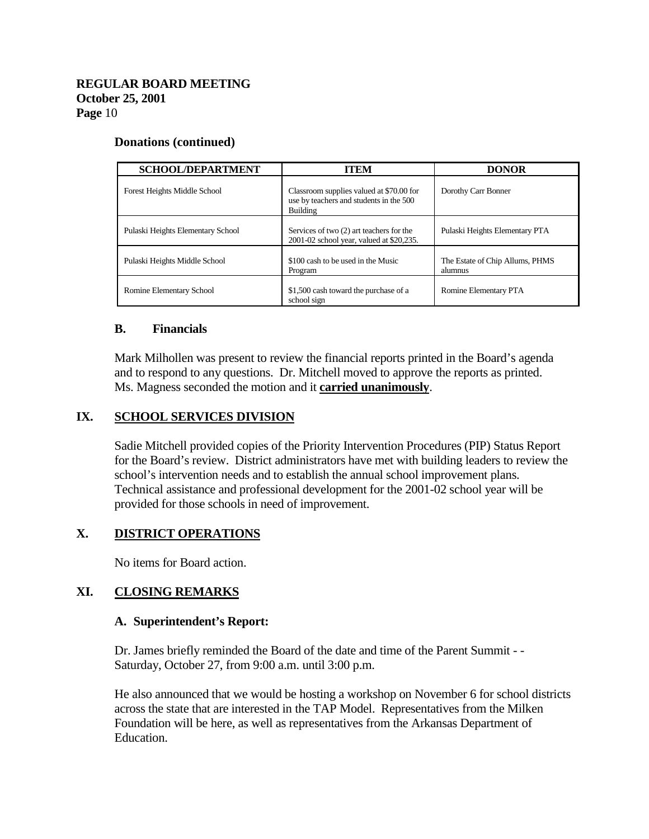#### **Donations (continued)**

| <b>SCHOOL/DEPARTMENT</b>          | <b>ITEM</b>                                                                                     | <b>DONOR</b>                               |
|-----------------------------------|-------------------------------------------------------------------------------------------------|--------------------------------------------|
| Forest Heights Middle School      | Classroom supplies valued at \$70.00 for<br>use by teachers and students in the 500<br>Building | Dorothy Carr Bonner                        |
| Pulaski Heights Elementary School | Services of two (2) art teachers for the<br>2001-02 school year, valued at \$20,235.            | Pulaski Heights Elementary PTA             |
| Pulaski Heights Middle School     | \$100 cash to be used in the Music<br>Program                                                   | The Estate of Chip Allums, PHMS<br>alumnus |
| Romine Elementary School          | \$1,500 cash toward the purchase of a<br>school sign                                            | Romine Elementary PTA                      |

#### **B. Financials**

Mark Milhollen was present to review the financial reports printed in the Board's agenda and to respond to any questions. Dr. Mitchell moved to approve the reports as printed. Ms. Magness seconded the motion and it **carried unanimously**.

### **IX. SCHOOL SERVICES DIVISION**

Sadie Mitchell provided copies of the Priority Intervention Procedures (PIP) Status Report for the Board's review. District administrators have met with building leaders to review the school's intervention needs and to establish the annual school improvement plans. Technical assistance and professional development for the 2001-02 school year will be provided for those schools in need of improvement.

## **X. DISTRICT OPERATIONS**

No items for Board action.

### **XI. CLOSING REMARKS**

#### **A. Superintendent's Report:**

Dr. James briefly reminded the Board of the date and time of the Parent Summit - - Saturday, October 27, from 9:00 a.m. until 3:00 p.m.

He also announced that we would be hosting a workshop on November 6 for school districts across the state that are interested in the TAP Model. Representatives from the Milken Foundation will be here, as well as representatives from the Arkansas Department of Education.